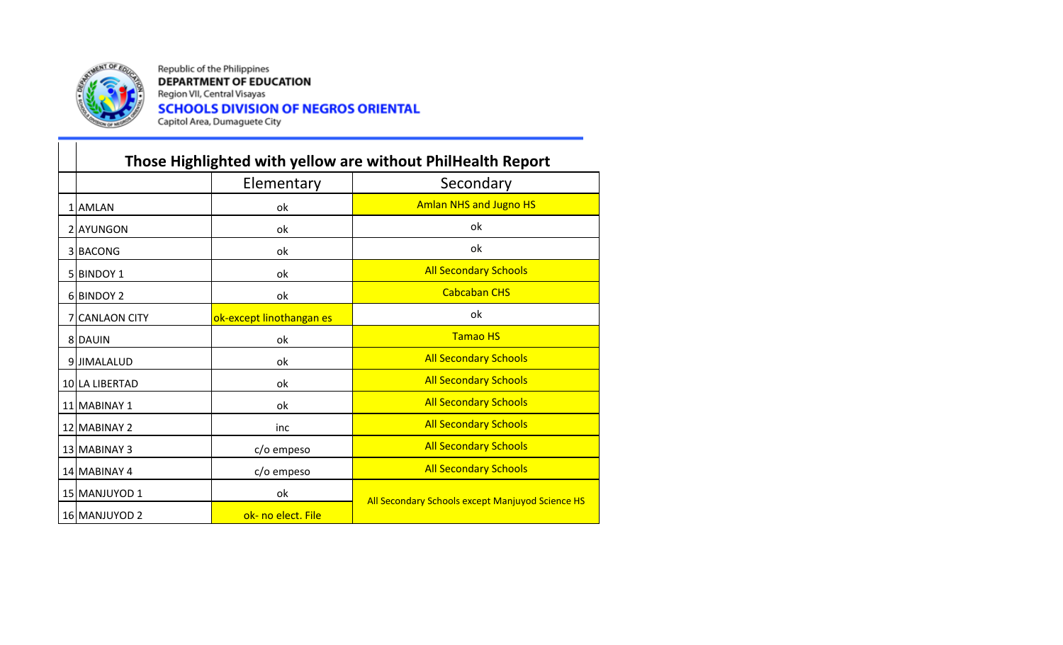

Republic of the Philippines **DEPARTMENT OF EDUCATION** Region VII, Central Visayas **SCHOOLS DIVISION OF NEGROS ORIENTAL**<br>Capitol Area, Dumaguete City

|                | Those Highlighted with yellow are without PhilHealth Report |                                                  |
|----------------|-------------------------------------------------------------|--------------------------------------------------|
|                | Elementary                                                  | Secondary                                        |
| 1 AMLAN        | ok                                                          | <b>Amlan NHS and Jugno HS</b>                    |
| 2 AYUNGON      | ok                                                          | ok                                               |
| 3 BACONG       | ok                                                          | ok                                               |
| 5 BINDOY 1     | ok                                                          | <b>All Secondary Schools</b>                     |
| 6 BINDOY 2     | ok                                                          | <b>Cabcaban CHS</b>                              |
| 7 CANLAON CITY | ok-except linothangan es                                    | ok                                               |
| 8 DAUIN        | ok                                                          | <b>Tamao HS</b>                                  |
| 9JJIMALALUD    | ok                                                          | <b>All Secondary Schools</b>                     |
| 10 LA LIBERTAD | ok                                                          | <b>All Secondary Schools</b>                     |
| 11 MABINAY 1   | ok                                                          | <b>All Secondary Schools</b>                     |
| 12 MABINAY 2   | inc                                                         | <b>All Secondary Schools</b>                     |
| 13 MABINAY 3   | c/o empeso                                                  | <b>All Secondary Schools</b>                     |
| 14 MABINAY 4   | c/o empeso                                                  | <b>All Secondary Schools</b>                     |
| 15 MANJUYOD 1  | ok                                                          |                                                  |
| 16 MANJUYOD 2  | ok- no elect. File                                          | All Secondary Schools except Manjuyod Science HS |